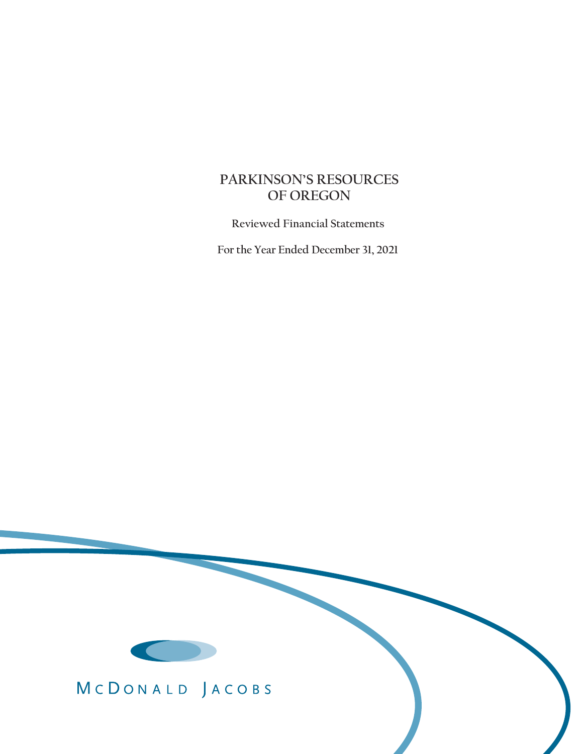# **PARKINSON'S RESOURCES OF OREGON**

 **Reviewed Financial Statements**

 **For the Year Ended December 31, 2021**



MCDONALD JACOBS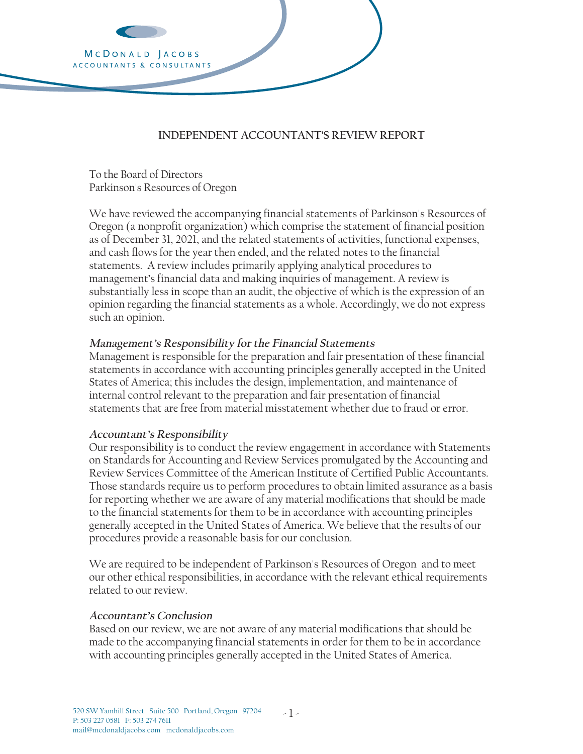

# **INDEPENDENT ACCOUNTANT'S REVIEW REPORT**

To the Board of Directors Parkinson's Resources of Oregon

We have reviewed the accompanying financial statements of Parkinson's Resources of Oregon (a nonprofit organization) which comprise the statement of financial position as of December 31, 2021, and the related statements of activities, functional expenses, and cash flows for the year then ended, and the related notes to the financial statements. A review includes primarily applying analytical procedures to management's financial data and making inquiries of management. A review is substantially less in scope than an audit, the objective of which is the expression of an opinion regarding the financial statements as a whole. Accordingly, we do not express such an opinion.

#### **Management's Responsibility for the Financial Statements**

internal control relevant to the preparation and fair presentation of financial<br>statements that are free from material misstatement whether due to fraud or Management is responsible for the preparation and fair presentation of these financial statements in accordance with accounting principles generally accepted in the United States of America; this includes the design, implementation, and maintenance of statements that are free from material misstatement whether due to fraud or error.

#### **Accountant's Responsibility**

Our responsibility is to conduct the review engagement in accordance with Statements on Standards for Accounting and Review Services promulgated by the Accounting and Review Services Committee of the American Institute of Certified Public Accountants. Those standards require us to perform procedures to obtain limited assurance as a basis for reporting whether we are aware of any material modifications that should be made to the financial statements for them to be in accordance with accounting principles generally accepted in the United States of America. We believe that the results of our procedures provide a reasonable basis for our conclusion.

We are required to be independent of Parkinson's Resources of Oregon and to meet our other ethical responsibilities, in accordance with the relevant ethical requirements related to our review.

#### **Accountant's Conclusion**

Based on our review, we are not aware of any material modifications that should be made to the accompanying financial statements in order for them to be in accordance with accounting principles generally accepted in the United States of America.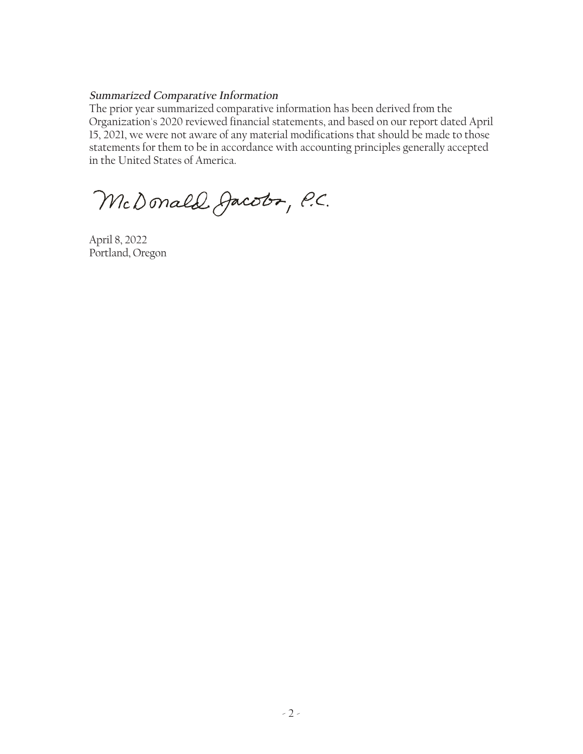# **Summarized Comparative Information**

The prior year summarized comparative information has been derived from the Organization's 2020 reviewed financial statements, and based on our report dated April 15, 2021, we were not aware of any material modifications that should be made to those statements for them to be in accordance with accounting principles generally accepted in the United States of America.

McDonald Jacobs, P.C.

April 8, 2022 Portland, Oregon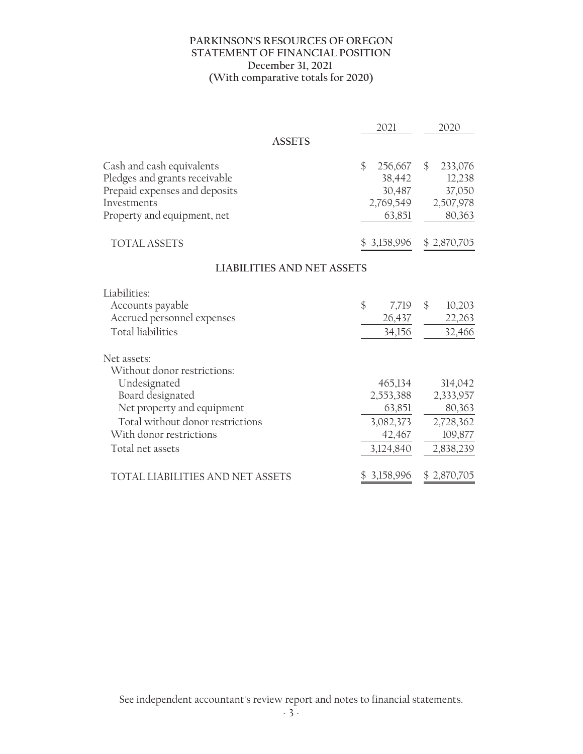#### **PARKINSON'S RESOURCES OF OREGON STATEMENT OF FINANCIAL POSITION December 31, 2021 (With comparative totals for 2020)**

|                                                                                                                                                                                                 | 2021                                                               | 2020                                                                |
|-------------------------------------------------------------------------------------------------------------------------------------------------------------------------------------------------|--------------------------------------------------------------------|---------------------------------------------------------------------|
| <b>ASSETS</b>                                                                                                                                                                                   |                                                                    |                                                                     |
| Cash and cash equivalents<br>Pledges and grants receivable<br>Prepaid expenses and deposits<br>Investments<br>Property and equipment, net                                                       | \$<br>256,667<br>38,442<br>30,487<br>2,769,549<br>63,851           | 233,076<br>$\mathcal{S}$<br>12,238<br>37,050<br>2,507,978<br>80,363 |
| <b>TOTAL ASSETS</b>                                                                                                                                                                             |                                                                    | $$3,158,996$ $$2,870,705$                                           |
| <b>LIABILITIES AND NET ASSETS</b>                                                                                                                                                               |                                                                    |                                                                     |
| Liabilities:<br>Accounts payable<br>Accrued personnel expenses<br><b>Total liabilities</b>                                                                                                      | \$<br>7,719<br>26,437<br>34,156                                    | $\mathcal{S}$<br>10,203<br>22,263<br>32,466                         |
| Net assets:<br>Without donor restrictions:<br>Undesignated<br>Board designated<br>Net property and equipment<br>Total without donor restrictions<br>With donor restrictions<br>Total net assets | 465,134<br>2,553,388<br>63,851<br>3,082,373<br>42,467<br>3,124,840 | 314,042<br>2,333,957<br>80,363<br>2,728,362<br>109,877<br>2,838,239 |
| TOTAL LIABILITIES AND NET ASSETS                                                                                                                                                                | 3,158,996                                                          | \$2,870,705                                                         |

See independent accountant's review report and notes to financial statements.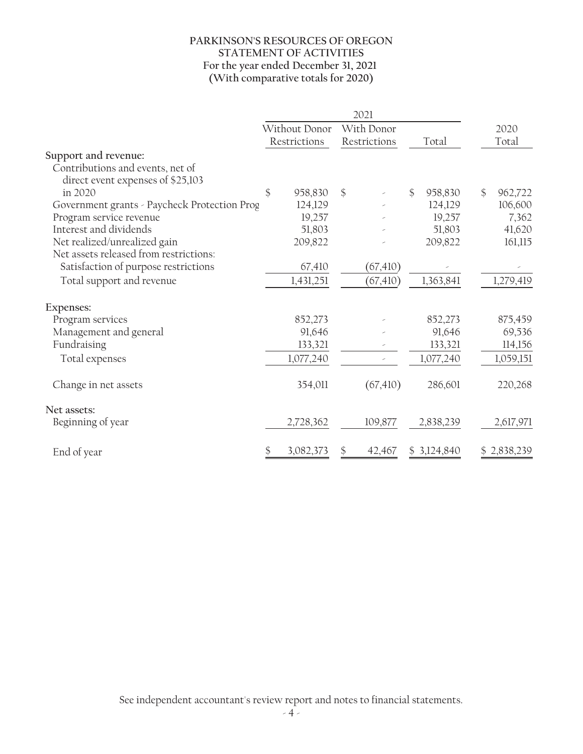#### **PARKINSON'S RESOURCES OF OREGON STATEMENT OF ACTIVITIES For the year ended December 31, 2021 (With comparative totals for 2020)**

|                                              | 2021          |           |               |              |    |             |    |             |
|----------------------------------------------|---------------|-----------|---------------|--------------|----|-------------|----|-------------|
|                                              | Without Donor |           | With Donor    |              |    |             |    | 2020        |
|                                              | Restrictions  |           |               | Restrictions |    | Total       |    | Total       |
| Support and revenue:                         |               |           |               |              |    |             |    |             |
| Contributions and events, net of             |               |           |               |              |    |             |    |             |
| direct event expenses of \$25,103            |               |           |               |              |    |             |    |             |
| in 2020                                      | \$            | 958,830   | $\mathcal{S}$ |              | \$ | 958,830     | \$ | 962,722     |
| Government grants - Paycheck Protection Prog |               | 124,129   |               |              |    | 124,129     |    | 106,600     |
| Program service revenue                      |               | 19,257    |               |              |    | 19,257      |    | 7,362       |
| Interest and dividends                       |               | 51,803    |               |              |    | 51,803      |    | 41,620      |
| Net realized/unrealized gain                 |               | 209,822   |               |              |    | 209,822     |    | 161,115     |
| Net assets released from restrictions:       |               |           |               |              |    |             |    |             |
| Satisfaction of purpose restrictions         |               | 67,410    |               | (67, 410)    |    |             |    |             |
| Total support and revenue                    |               | 1,431,251 |               | (67, 410)    |    | 1,363,841   |    | 1,279,419   |
| Expenses:                                    |               |           |               |              |    |             |    |             |
| Program services                             |               | 852,273   |               |              |    | 852,273     |    | 875,459     |
| Management and general                       |               | 91,646    |               |              |    | 91,646      |    | 69,536      |
| Fundraising                                  |               | 133,321   |               |              |    | 133,321     |    | 114,156     |
| Total expenses                               |               | 1,077,240 |               |              |    | 1,077,240   |    | 1,059,151   |
| Change in net assets                         |               | 354,011   |               | (67, 410)    |    | 286,601     |    | 220,268     |
| Net assets:                                  |               |           |               |              |    |             |    |             |
| Beginning of year                            |               | 2,728,362 |               | 109,877      |    | 2,838,239   |    | 2,617,971   |
| End of year                                  | \$            | 3,082,373 |               | 42,467       |    | \$3,124,840 |    | \$2,838,239 |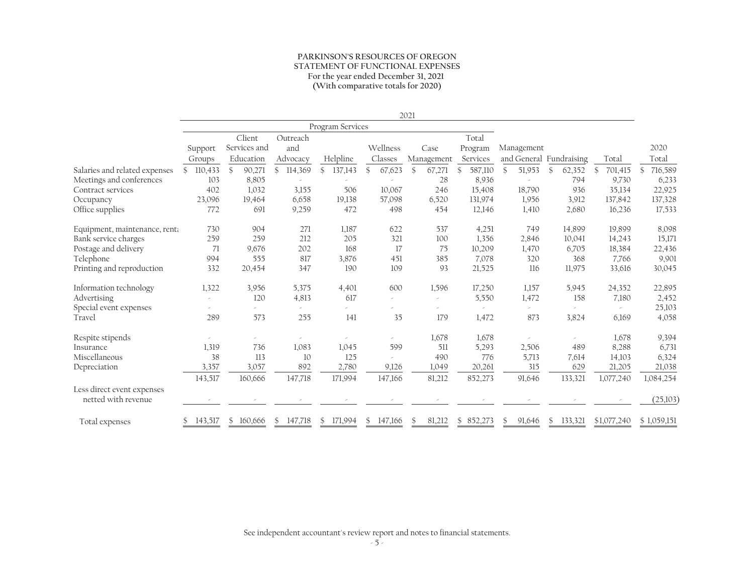#### **PARKINSON'S RESOURCES OF OREGON STATEMENT OF FUNCTIONAL EXPENSES For the year ended December 31, 2021 (With comparative totals for 2020)**

|                                                   |               |              |                           |                  |                | 2021                   |                          |                        |                         |               |               |
|---------------------------------------------------|---------------|--------------|---------------------------|------------------|----------------|------------------------|--------------------------|------------------------|-------------------------|---------------|---------------|
|                                                   |               |              |                           | Program Services |                |                        |                          |                        |                         |               |               |
|                                                   |               | Client       | Outreach                  |                  |                |                        | Total                    |                        |                         |               |               |
|                                                   | Support       | Services and | and                       |                  | Wellness       | Case                   | Program                  | Management             |                         |               | 2020          |
|                                                   | Groups        | Education    | Advocacy                  | Helpline         | Classes        | Management             | Services                 |                        | and General Fundraising | Total         | Total         |
| Salaries and related expenses                     | 110,433<br>S. | 90,271<br>\$ | 114,369<br>$\mathbb{S}^-$ | \$<br>137,143    | 67,623<br>\$   | 67,271<br>$\mathbb{S}$ | 587,110<br>$\mathcal{S}$ | 51,953<br>$\mathbb{S}$ | 62,352<br>\$            | 701,415<br>\$ | 716,589<br>\$ |
| Meetings and conferences                          | 103           | 8,805        |                           |                  |                | 28                     | 8,936                    |                        | 794                     | 9,730         | 6,233         |
| Contract services                                 | 402           | 1,032        | 3,155                     | 506              | 10,067         | 246                    | 15,408                   | 18,790                 | 936                     | 35,134        | 22,925        |
| Occupancy                                         | 23,096        | 19,464       | 6.658                     | 19,138           | 57,098         | 6,520                  | 131,974                  | 1,956                  | 3,912                   | 137,842       | 137,328       |
| Office supplies                                   | 772           | 691          | 9,259                     | 472              | 498            | 454                    | 12,146                   | 1,410                  | 2,680                   | 16,236        | 17,533        |
| Equipment, maintenance, renta                     | 730           | 904          | 271                       | 1,187            | 622            | 537                    | 4,251                    | 749                    | 14,899                  | 19,899        | 8,098         |
| Bank service charges                              | 259           | 259          | 212                       | 205              | 321            | 100                    | 1,356                    | 2,846                  | 10,041                  | 14,243        | 15,171        |
| Postage and delivery                              | 71            | 9,676        | 202                       | 168              | 17             | 75                     | 10,209                   | 1,470                  | 6,705                   | 18,384        | 22,436        |
| Telephone                                         | 994           | 555          | 817                       | 3,876            | 451            | 385                    | 7,078                    | 320                    | 368                     | 7,766         | 9,901         |
| Printing and reproduction                         | 332           | 20,454       | 347                       | 190              | 109            | 93                     | 21,525                   | 116                    | 11,975                  | 33,616        | 30,045        |
| Information technology                            | 1,322         | 3,956        | 5,375                     | 4,401            | 600            | 1,596                  | 17,250                   | 1,157                  | 5,945                   | 24,352        | 22,895        |
| Advertising                                       |               | 120          | 4,813                     | 617              |                |                        | 5,550                    | 1,472                  | 158                     | 7,180         | 2,452         |
| Special event expenses                            |               |              |                           |                  |                |                        |                          |                        |                         |               | 25,103        |
| Travel                                            | 289           | 573          | 255                       | 141              | 35             | 179                    | 1,472                    | 873                    | 3,824                   | 6,169         | 4,058         |
| Respite stipends                                  |               |              |                           |                  |                | 1,678                  | 1,678                    |                        |                         | 1,678         | 9,394         |
| Insurance                                         | 1,319         | 736          | 1,083                     | 1,045            | 599            | 511                    | 5,293                    | 2,506                  | 489                     | 8,288         | 6,731         |
| Miscellaneous                                     | 38            | 113          | 10                        | 125              |                | 490                    | 776                      | 5,713                  | 7,614                   | 14,103        | 6,324         |
| Depreciation                                      | 3,357         | 3,057        | 892                       | 2,780            | 9,126          | 1,049                  | 20,261                   | 315                    | 629                     | 21,205        | 21,038        |
|                                                   | 143,517       | 160,666      | 147,718                   | 171,994          | 147,166        | 81,212                 | 852,273                  | 91,646                 | 133,321                 | 1,077,240     | 1,084,254     |
| Less direct event expenses<br>netted with revenue |               |              |                           |                  |                |                        |                          |                        |                         |               | (25,103)      |
| Total expenses                                    | 143,517<br>S. | \$160,666    | \$147,718                 | \$171,994        | 147,166<br>\$. | 81,212<br>\$.          | \$852,273                | \$.<br>91,646          | \$133,321               | \$1,077,240   | \$1,059,151   |

See independent accountant's review report and notes to financial statements.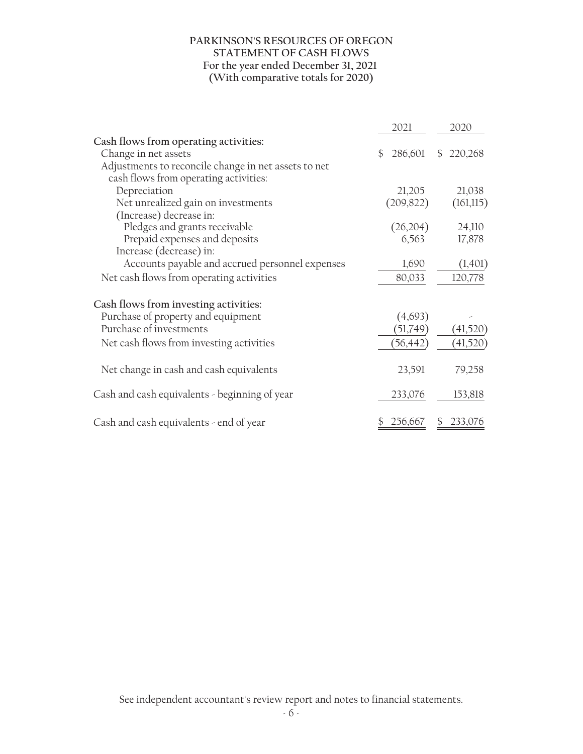#### **PARKINSON'S RESOURCES OF OREGON STATEMENT OF CASH FLOWS For the year ended December 31, 2021 (With comparative totals for 2020)**

|                                                      | 2021          | 2020                     |
|------------------------------------------------------|---------------|--------------------------|
| Cash flows from operating activities:                |               |                          |
| Change in net assets                                 | \$<br>286,601 | 220,268<br>$\mathcal{S}$ |
| Adjustments to reconcile change in net assets to net |               |                          |
| cash flows from operating activities:                |               |                          |
| Depreciation                                         | 21,205        | 21,038                   |
| Net unrealized gain on investments                   | (209, 822)    | (161,115)                |
| (Increase) decrease in:                              |               |                          |
| Pledges and grants receivable                        | (26,204)      | 24,110                   |
| Prepaid expenses and deposits                        | 6,563         | 17,878                   |
| Increase (decrease) in:                              |               |                          |
| Accounts payable and accrued personnel expenses      | 1,690         | (1,401)                  |
| Net cash flows from operating activities             | 80,033        | 120,778                  |
| Cash flows from investing activities:                |               |                          |
| Purchase of property and equipment                   | (4,693)       |                          |
| Purchase of investments                              | (51,749)      | (41,520)                 |
| Net cash flows from investing activities             | (56,442)      | (41,520)                 |
|                                                      |               |                          |
| Net change in cash and cash equivalents              | 23,591        | 79,258                   |
| Cash and cash equivalents - beginning of year        | 233,076       | 153,818                  |
|                                                      |               |                          |
| Cash and cash equivalents - end of year              | 256,667       | 233,076                  |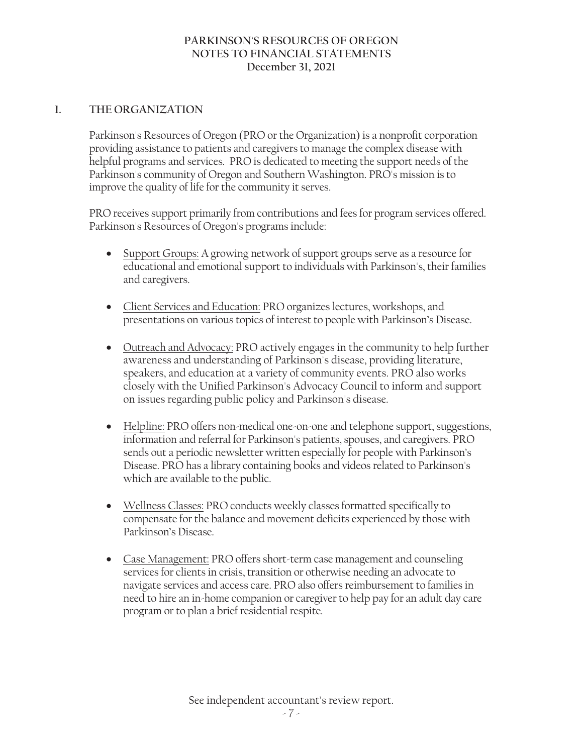# **1. THE ORGANIZATION**

Parkinson's Resources of Oregon (PRO or the Organization) is a nonprofit corporation providing assistance to patients and caregivers to manage the complex disease with helpful programs and services. PRO is dedicated to meeting the support needs of the Parkinson's community of Oregon and Southern Washington. PRO's mission is to improve the quality of life for the community it serves.

PRO receives support primarily from contributions and fees for program services offered. Parkinson's Resources of Oregon's programs include:

- Support Groups: A growing network of support groups serve as a resource for educational and emotional support to individuals with Parkinson's, their families and caregivers.
- Client Services and Education: PRO organizes lectures, workshops, and presentations on various topics of interest to people with Parkinson's Disease.
- Outreach and Advocacy: PRO actively engages in the community to help further awareness and understanding of Parkinson's disease, providing literature, speakers, and education at a variety of community events. PRO also works closely with the Unified Parkinson's Advocacy Council to inform and support on issues regarding public policy and Parkinson's disease.
- Helpline: PRO offers non-medical one-on-one and telephone support, suggestions, information and referral for Parkinson's patients, spouses, and caregivers. PRO sends out a periodic newsletter written especially for people with Parkinson's Disease. PRO has a library containing books and videos related to Parkinson's which are available to the public.
- Wellness Classes: PRO conducts weekly classes formatted specifically to compensate for the balance and movement deficits experienced by those with Parkinson's Disease.
- Case Management: PRO offers short-term case management and counseling services for clients in crisis, transition or otherwise needing an advocate to navigate services and access care. PRO also offers reimbursement to families in need to hire an in-home companion or caregiver to help pay for an adult day care program or to plan a brief residential respite.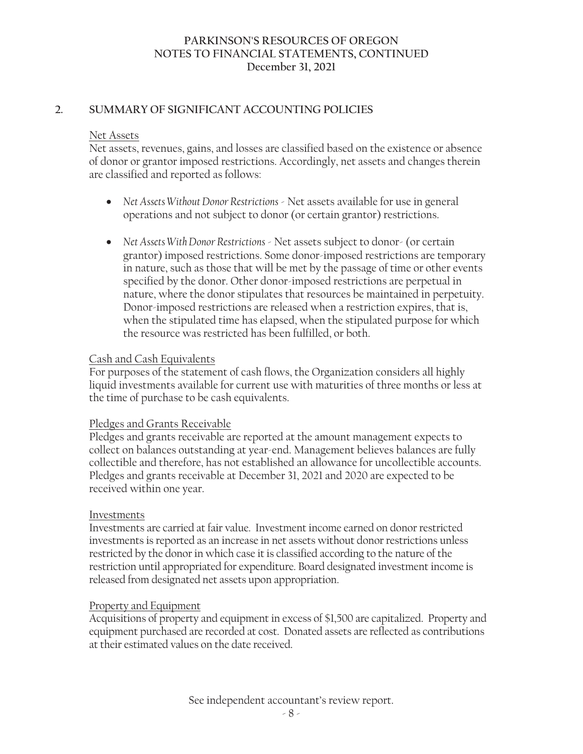### **2. SUMMARY OF SIGNIFICANT ACCOUNTING POLICIES**

#### Net Assets

Net assets, revenues, gains, and losses are classified based on the existence or absence of donor or grantor imposed restrictions. Accordingly, net assets and changes therein are classified and reported as follows:

- ! *Net Assets Without Donor Restrictions* Net assets available for use in general operations and not subject to donor (or certain grantor) restrictions.
- *Net Assets With Donor Restrictions* Net assets subject to donor- (or certain grantor) imposed restrictions. Some donor-imposed restrictions are temporary in nature, such as those that will be met by the passage of time or other events specified by the donor. Other donor-imposed restrictions are perpetual in nature, where the donor stipulates that resources be maintained in perpetuity. Donor-imposed restrictions are released when a restriction expires, that is, when the stipulated time has elapsed, when the stipulated purpose for which the resource was restricted has been fulfilled, or both.

#### Cash and Cash Equivalents

For purposes of the statement of cash flows, the Organization considers all highly liquid investments available for current use with maturities of three months or less at the time of purchase to be cash equivalents.

# Pledges and Grants Receivable

Pledges and grants receivable are reported at the amount management expects to collect on balances outstanding at year-end. Management believes balances are fully collectible and therefore, has not established an allowance for uncollectible accounts. Pledges and grants receivable at December 31, 2021 and 2020 are expected to be received within one year.

#### Investments

Investments are carried at fair value. Investment income earned on donor restricted investments is reported as an increase in net assets without donor restrictions unless restricted by the donor in which case it is classified according to the nature of the restriction until appropriated for expenditure. Board designated investment income is released from designated net assets upon appropriation.

# Property and Equipment

Acquisitions of property and equipment in excess of \$1,500 are capitalized. Property and equipment purchased are recorded at cost. Donated assets are reflected as contributions at their estimated values on the date received.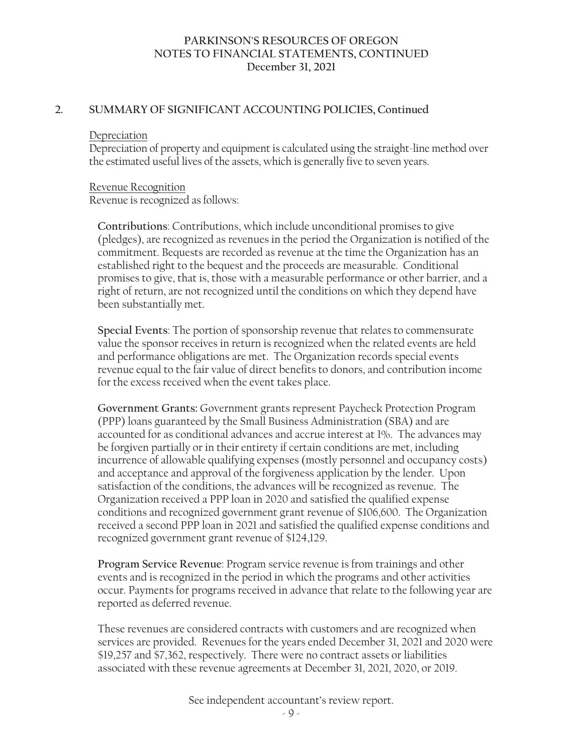#### **2. SUMMARY OF SIGNIFICANT ACCOUNTING POLICIES, Continued**

#### Depreciation

Depreciation of property and equipment is calculated using the straight-line method over the estimated useful lives of the assets, which is generally five to seven years.

#### Revenue Recognition

Revenue is recognized as follows:

**Contributions**: Contributions, which include unconditional promises to give (pledges), are recognized as revenues in the period the Organization is notified of the commitment. Bequests are recorded as revenue at the time the Organization has an established right to the bequest and the proceeds are measurable. Conditional promises to give, that is, those with a measurable performance or other barrier, and a right of return, are not recognized until the conditions on which they depend have been substantially met.

**Special Events**: The portion of sponsorship revenue that relates to commensurate value the sponsor receives in return is recognized when the related events are held and performance obligations are met. The Organization records special events revenue equal to the fair value of direct benefits to donors, and contribution income for the excess received when the event takes place.

**Government Grants:** Government grants represent Paycheck Protection Program (PPP) loans guaranteed by the Small Business Administration (SBA) and are accounted for as conditional advances and accrue interest at 1%. The advances may be forgiven partially or in their entirety if certain conditions are met, including incurrence of allowable qualifying expenses (mostly personnel and occupancy costs) and acceptance and approval of the forgiveness application by the lender. Upon satisfaction of the conditions, the advances will be recognized as revenue. The Organization received a PPP loan in 2020 and satisfied the qualified expense conditions and recognized government grant revenue of \$106,600. The Organization received a second PPP loan in 2021 and satisfied the qualified expense conditions and recognized government grant revenue of \$124,129.

**Program Service Revenue**: Program service revenue is from trainings and other events and is recognized in the period in which the programs and other activities occur. Payments for programs received in advance that relate to the following year are reported as deferred revenue.

These revenues are considered contracts with customers and are recognized when services are provided. Revenues for the years ended December 31, 2021 and 2020 were \$19,257 and \$7,362, respectively. There were no contract assets or liabilities associated with these revenue agreements at December 31, 2021, 2020, or 2019.

See independent accountant's review report.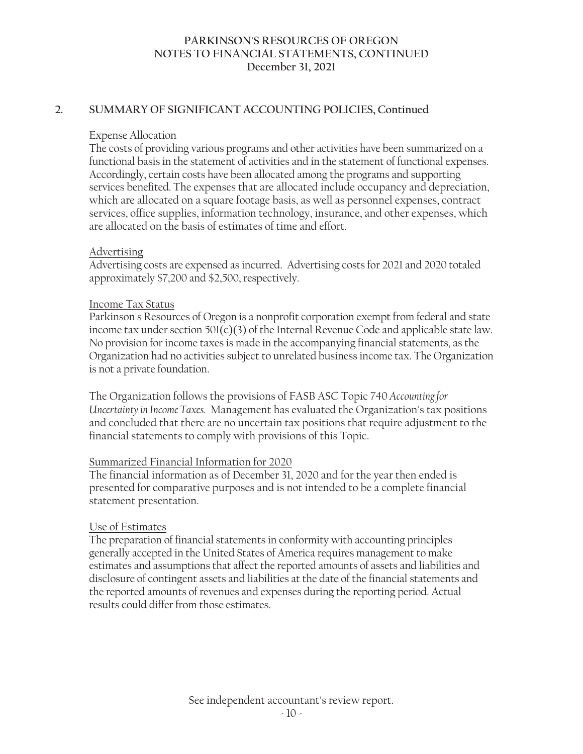### **2. SUMMARY OF SIGNIFICANT ACCOUNTING POLICIES, Continued**

#### Expense Allocation

The costs of providing various programs and other activities have been summarized on a functional basis in the statement of activities and in the statement of functional expenses. Accordingly, certain costs have been allocated among the programs and supporting services benefited. The expenses that are allocated include occupancy and depreciation, which are allocated on a square footage basis, as well as personnel expenses, contract services, office supplies, information technology, insurance, and other expenses, which are allocated on the basis of estimates of time and effort.

# Advertising

Advertising costs are expensed as incurred. Advertising costs for 2021 and 2020 totaled approximately \$7,200 and \$2,500, respectively.

#### Income Tax Status

Parkinson's Resources of Oregon is a nonprofit corporation exempt from federal and state income tax under section  $501(c)(3)$  of the Internal Revenue Code and applicable state law. No provision for income taxes is made in the accompanying financial statements, as the Organization had no activities subject to unrelated business income tax. The Organization is not a private foundation.

The Organization follows the provisions of FASB ASC Topic 740 *Accounting for Uncertainty in Income Taxes.* Management has evaluated the Organization's tax positions and concluded that there are no uncertain tax positions that require adjustment to the financial statements to comply with provisions of this Topic.

# Summarized Financial Information for 2020

The financial information as of December 31, 2020 and for the year then ended is presented for comparative purposes and is not intended to be a complete financial statement presentation.

# Use of Estimates

The preparation of financial statements in conformity with accounting principles generally accepted in the United States of America requires management to make estimates and assumptions that affect the reported amounts of assets and liabilities and disclosure of contingent assets and liabilities at the date of the financial statements and the reported amounts of revenues and expenses during the reporting period. Actual results could differ from those estimates.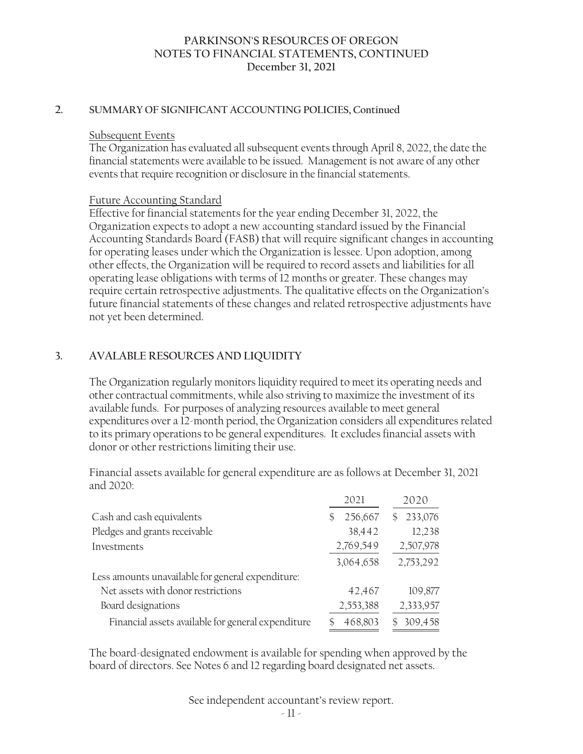#### **2. SUMMARY OF SIGNIFICANT ACCOUNTING POLICIES, Continued**

#### Subsequent Events

The Organization has evaluated all subsequent events through April 8, 2022, the date the financial statements were available to be issued. Management is not aware of any other events that require recognition or disclosure in the financial statements.

#### Future Accounting Standard

Effective for financial statements for the year ending December 31, 2022, the Organization expects to adopt a new accounting standard issued by the Financial Accounting Standards Board (FASB) that will require significant changes in accounting for operating leases under which the Organization is lessee. Upon adoption, among other effects, the Organization will be required to record assets and liabilities for all operating lease obligations with terms of 12 months or greater. These changes may require certain retrospective adjustments. The qualitative effects on the Organization's future financial statements of these changes and related retrospective adjustments have not yet been determined.

# **3. AVALABLE RESOURCES AND LIQUIDITY**

The Organization regularly monitors liquidity required to meet its operating needs and other contractual commitments, while also striving to maximize the investment of its available funds. For purposes of analyzing resources available to meet general expenditures over a 12-month period, the Organization considers all expenditures related to its primary operations to be general expenditures. It excludes financial assets with donor or other restrictions limiting their use.

Financial assets available for general expenditure are as follows at December 31, 2021 and 2020:

|                                                    | 2021      | 2020          |
|----------------------------------------------------|-----------|---------------|
| Cash and cash equivalents                          | 256,667   | 233,076<br>\$ |
| Pledges and grants receivable                      | 38,442    | 12,238        |
| Investments                                        | 2,769,549 | 2,507,978     |
|                                                    | 3,064,658 | 2,753,292     |
| Less amounts unavailable for general expenditure:  |           |               |
| Net assets with donor restrictions                 | 42,467    | 109,877       |
| Board designations                                 | 2,553,388 | 2,333,957     |
| Financial assets available for general expenditure | 468,803   | 309,458<br>ς  |

The board-designated endowment is available for spending when approved by the board of directors. See Notes 6 and 12 regarding board designated net assets.

See independent accountant's review report.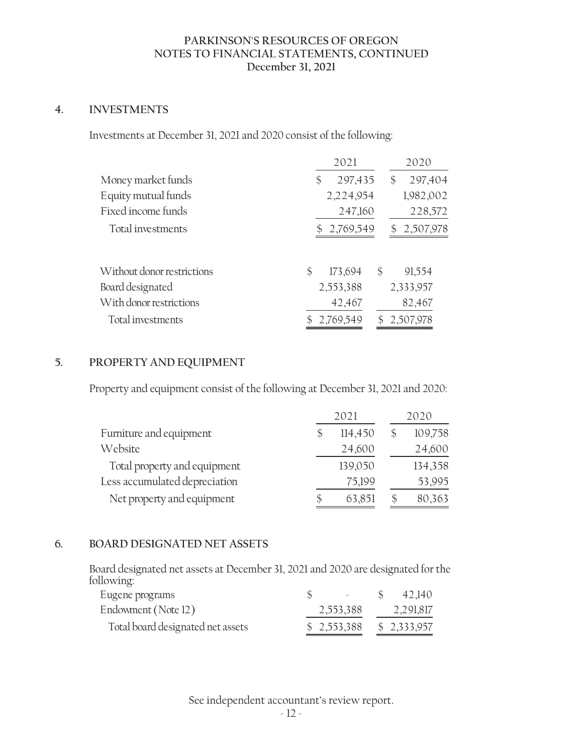# **4. INVESTMENTS**

Investments at December 31, 2021 and 2020 consist of the following:

|                            | 2021                | 2020            |  |
|----------------------------|---------------------|-----------------|--|
| Money market funds         | 297,435<br>\$       | 297,404<br>\$   |  |
| Equity mutual funds        | 2,224,954           | 1,982,002       |  |
| Fixed income funds         | 247,160             | 228,572         |  |
| Total investments          | 2,769,549           | 2,507,978<br>\$ |  |
| Without donor restrictions | \$<br>\$<br>173,694 | 91,554          |  |
| Board designated           | 2,553,388           | 2,333,957       |  |
| With donor restrictions    | 42,467              | 82,467          |  |
| Total investments          | 2,769,549           | \$2,507,978     |  |

# **5. PROPERTY AND EQUIPMENT**

Property and equipment consist of the following at December 31, 2021 and 2020:

|                               | 2021    | 2020 |         |  |
|-------------------------------|---------|------|---------|--|
| Furniture and equipment       | 114,450 |      | 109,758 |  |
| Website                       | 24,600  |      | 24,600  |  |
| Total property and equipment  | 139,050 |      | 134,358 |  |
| Less accumulated depreciation | 75,199  |      | 53,995  |  |
| Net property and equipment    | 63,851  |      | 80,363  |  |

#### **6. BOARD DESIGNATED NET ASSETS**

Board designated net assets at December 31, 2021 and 2020 are designated for the following:

| Eugene programs                   | $\mathcal{L}(\mathcal{L})$ and $\mathcal{L}(\mathcal{L})$ | 42,140    |
|-----------------------------------|-----------------------------------------------------------|-----------|
| Endowment (Note 12)               | 2,553,388                                                 | 2,291,817 |
| Total board designated net assets | $$2,553,388$ $$2,333,957$                                 |           |

See independent accountant's review report.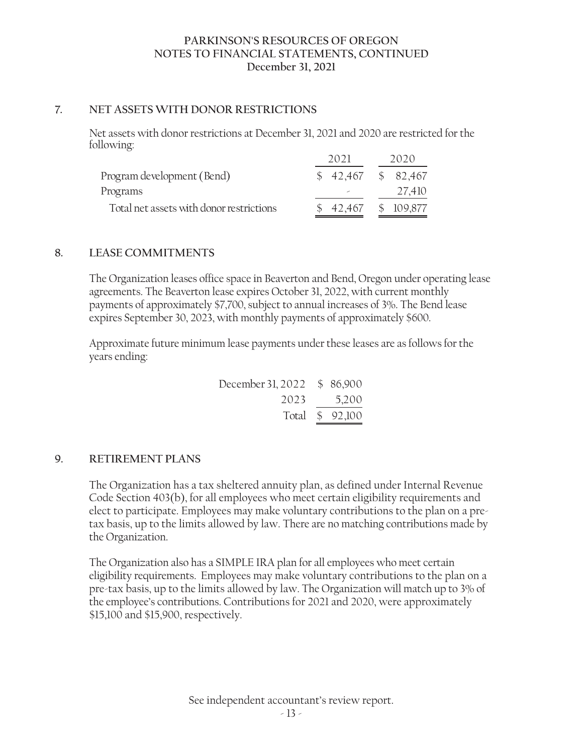### **7. NET ASSETS WITH DONOR RESTRICTIONS**

Net assets with donor restrictions at December 31, 2021 and 2020 are restricted for the following:

|                                          | 2021     | 2020       |
|------------------------------------------|----------|------------|
| Program development (Bend)               | \$42,467 | \$ 82,467  |
| Programs                                 |          | 27.410     |
| Total net assets with donor restrictions | \$42,467 | \$ 109,877 |

# **8. LEASE COMMITMENTS**

The Organization leases office space in Beaverton and Bend, Oregon under operating lease agreements. The Beaverton lease expires October 31, 2022, with current monthly payments of approximately \$7,700, subject to annual increases of 3%. The Bend lease expires September 30, 2023, with monthly payments of approximately \$600.

Approximate future minimum lease payments under these leases are as follows for the years ending:

| December 31, 2022 \$ 86,900 |                 |
|-----------------------------|-----------------|
| 2023                        | 5,200           |
|                             | Total \$ 92,100 |

# **9. RETIREMENT PLANS**

The Organization has a tax sheltered annuity plan, as defined under Internal Revenue Code Section 403(b), for all employees who meet certain eligibility requirements and elect to participate. Employees may make voluntary contributions to the plan on a pretax basis, up to the limits allowed by law. There are no matching contributions made by the Organization.

The Organization also has a SIMPLE IRA plan for all employees who meet certain eligibility requirements. Employees may make voluntary contributions to the plan on a pre-tax basis, up to the limits allowed by law. The Organization will match up to 3% of the employee's contributions. Contributions for 2021 and 2020, were approximately \$15,100 and \$15,900, respectively.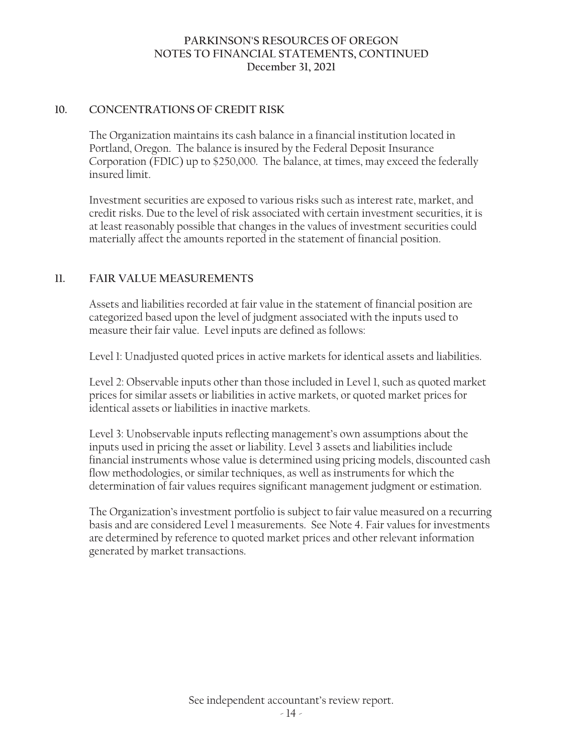#### **10. CONCENTRATIONS OF CREDIT RISK**

The Organization maintains its cash balance in a financial institution located in Portland, Oregon. The balance is insured by the Federal Deposit Insurance Corporation (FDIC) up to \$250,000. The balance, at times, may exceed the federally insured limit.

Investment securities are exposed to various risks such as interest rate, market, and credit risks. Due to the level of risk associated with certain investment securities, it is at least reasonably possible that changes in the values of investment securities could materially affect the amounts reported in the statement of financial position.

# **11. FAIR VALUE MEASUREMENTS**

Assets and liabilities recorded at fair value in the statement of financial position are categorized based upon the level of judgment associated with the inputs used to measure their fair value. Level inputs are defined as follows:

Level 1: Unadjusted quoted prices in active markets for identical assets and liabilities.

Level 2: Observable inputs other than those included in Level 1, such as quoted market prices for similar assets or liabilities in active markets, or quoted market prices for identical assets or liabilities in inactive markets.

Level 3: Unobservable inputs reflecting management's own assumptions about the inputs used in pricing the asset or liability. Level 3 assets and liabilities include financial instruments whose value is determined using pricing models, discounted cash flow methodologies, or similar techniques, as well as instruments for which the determination of fair values requires significant management judgment or estimation.

The Organization's investment portfolio is subject to fair value measured on a recurring basis and are considered Level 1 measurements. See Note 4. Fair values for investments are determined by reference to quoted market prices and other relevant information generated by market transactions.